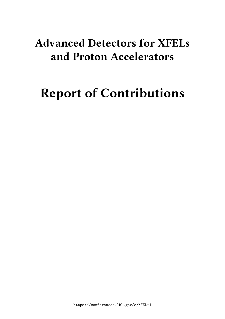# **Advanced Detectors for XFELs and Proton Accelerators**

# **Report of Contributions**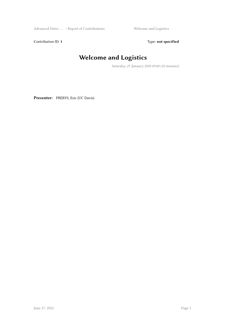Advanced Detec ... / Report of Contributions Welcome and Logistics

Contribution ID: 1 Type: **not specified** 

# **Welcome and Logistics**

*Saturday, 25 January 2020 09:00 (10 minutes)*

**Presenter:** PREBYS, Eric (UC Davis)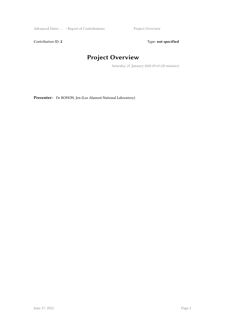Advanced Detec ... / Report of Contributions Project Overview

Contribution ID: 2 Type: **not specified** 

## **Project Overview**

*Saturday, 25 January 2020 09:10 (20 minutes)*

**Presenter:** Dr BOHON, Jen (Los Alamost National Laboratory)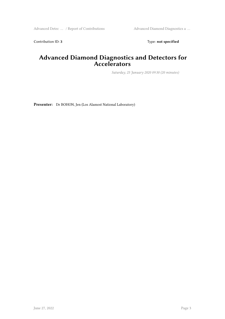Contribution ID: 3 Type: **not specified** 

#### **Advanced Diamond Diagnostics and Detectors for Accelerators**

*Saturday, 25 January 2020 09:30 (20 minutes)*

**Presenter:** Dr BOHON, Jen (Los Alamost National Laboratory)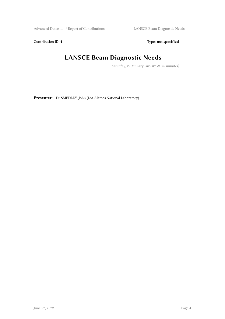Contribution ID: 4 Type: **not specified** 

#### **LANSCE Beam Diagnostic Needs**

*Saturday, 25 January 2020 09:50 (20 minutes)*

**Presenter:** Dr SMEDLEY, John (Los Alamos National Laboratory)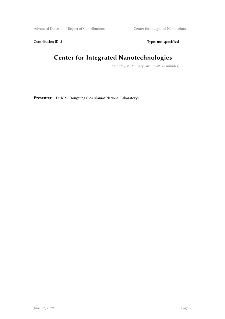Advanced Detec … / Report of Contributions Center for Integrated Nanotechno …

Contribution ID: 5 Type: **not specified** 

#### **Center for Integrated Nanotechnologies**

*Saturday, 25 January 2020 11:00 (10 minutes)*

**Presenter:** Dr KIM, Dongsung (Los Alamos National Laboratory)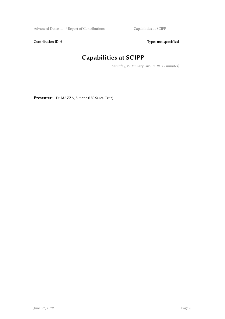Advanced Detec … / Report of Contributions Capabilities at SCIPP

Contribution ID: 6 Type: not specified

# **Capabilities at SCIPP**

*Saturday, 25 January 2020 11:10 (15 minutes)*

**Presenter:** Dr MAZZA, Simone (UC Santa Cruz)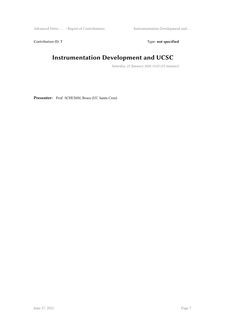Advanced Detec … / Report of Contributions Instrumentation Development and …

Contribution ID: 7 Type: **not specified** 

#### **Instrumentation Development and UCSC**

*Saturday, 25 January 2020 13:25 (25 minutes)*

**Presenter:** Prof. SCHUMM, Bruce (UC Santa Cruz)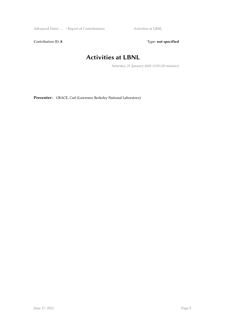Advanced Detec … / Report of Contributions Activities at LBNL

Contribution ID: 8 Type: **not specified** 

#### **Activities at LBNL**

*Saturday, 25 January 2020 13:50 (20 minutes)*

**Presenter:** GRACE, Carl (Lawrence Berkeley National Laboratory)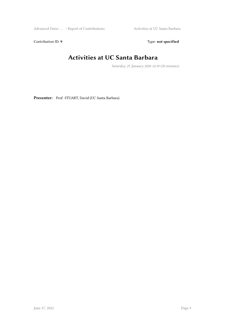Advanced Detec … / Report of Contributions Activities at UC Santa Barbara

Contribution ID: 9 Type: **not specified** 

## **Activities at UC Santa Barbara**

*Saturday, 25 January 2020 14:10 (20 minutes)*

**Presenter:** Prof. STUART, David (UC Santa Barbara)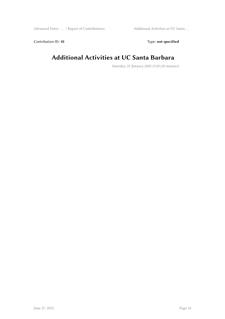Contribution ID: 10 **Type:** not specified

#### **Additional Activities at UC Santa Barbara**

*Saturday, 25 January 2020 15:20 (20 minutes)*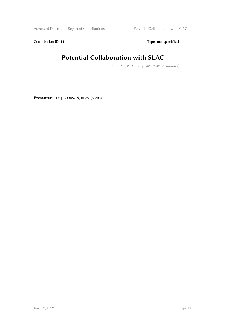Contribution ID: 11 Type: **not specified** 

## **Potential Collaboration with SLAC**

*Saturday, 25 January 2020 15:40 (20 minutes)*

**Presenter:** Dr JACOBSON, Bryce (SLAC)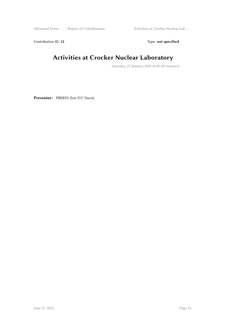Advanced Detec … / Report of Contributions Activities at Crocker Nuclear Lab …

Contribution ID: 12 Type: **not specified** 

#### **Activities at Crocker Nuclear Laboratory**

*Saturday, 25 January 2020 16:00 (20 minutes)*

**Presenter:** PREBYS, Eric (UC Davis)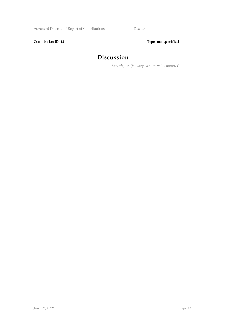Contribution ID: 13 Type: **not specified** 

#### **Discussion**

*Saturday, 25 January 2020 10:10 (30 minutes)*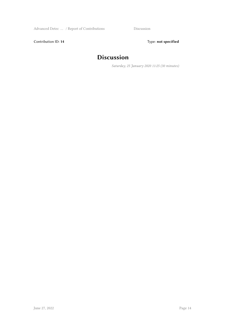Contribution ID: 14 Type: **not specified** 

#### **Discussion**

*Saturday, 25 January 2020 11:25 (30 minutes)*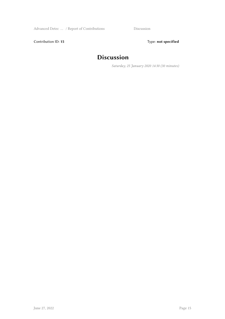Contribution ID: 15 Type: **not specified** 

#### **Discussion**

*Saturday, 25 January 2020 14:30 (30 minutes)*